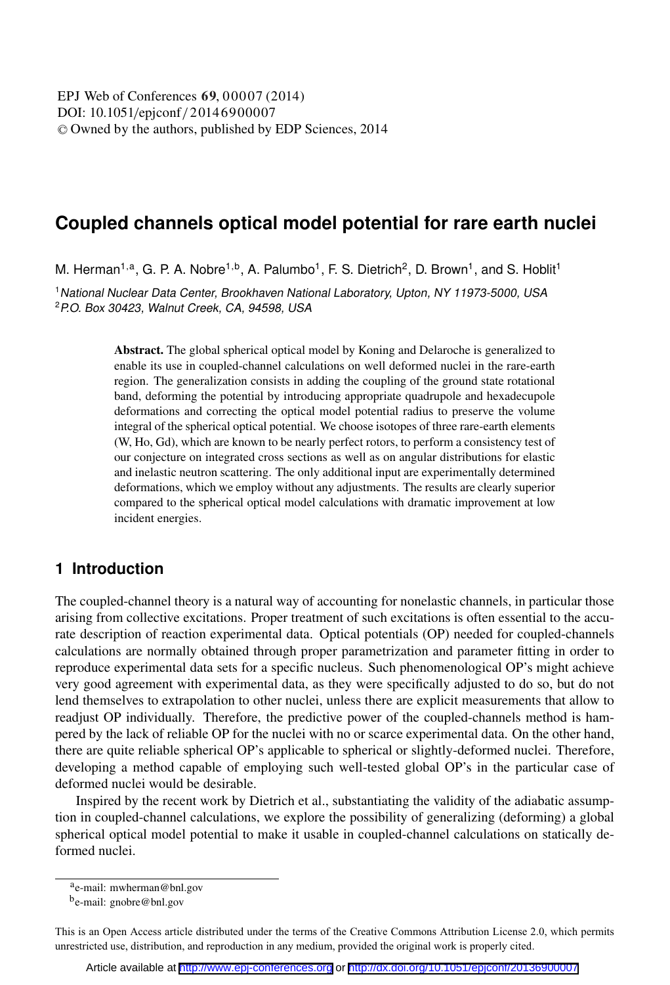# **Coupled channels optical model potential for rare earth nuclei**

M. Herman<sup>1,a</sup>, G. P. A. Nobre<sup>1,b</sup>, A. Palumbo<sup>1</sup>, F. S. Dietrich<sup>2</sup>, D. Brown<sup>1</sup>, and S. Hoblit<sup>1</sup> <sup>1</sup> National Nuclear Data Center, Brookhaven National Laboratory, Upton, NY 11973-5000, USA <sup>2</sup>P.O. Box 30423, Walnut Creek, CA, 94598, USA

> Abstract. The global spherical optical model by Koning and Delaroche is generalized to enable its use in coupled-channel calculations on well deformed nuclei in the rare-earth region. The generalization consists in adding the coupling of the ground state rotational band, deforming the potential by introducing appropriate quadrupole and hexadecupole deformations and correcting the optical model potential radius to preserve the volume integral of the spherical optical potential. We choose isotopes of three rare-earth elements (W, Ho, Gd), which are known to be nearly perfect rotors, to perform a consistency test of our conjecture on integrated cross sections as well as on angular distributions for elastic and inelastic neutron scattering. The only additional input are experimentally determined deformations, which we employ without any adjustments. The results are clearly superior compared to the spherical optical model calculations with dramatic improvement at low incident energies.

# **1 Introduction**

The coupled-channel theory is a natural way of accounting for nonelastic channels, in particular those arising from collective excitations. Proper treatment of such excitations is often essential to the accurate description of reaction experimental data. Optical potentials (OP) needed for coupled-channels calculations are normally obtained through proper parametrization and parameter fitting in order to reproduce experimental data sets for a specific nucleus. Such phenomenological OP's might achieve very good agreement with experimental data, as they were specifically adjusted to do so, but do not lend themselves to extrapolation to other nuclei, unless there are explicit measurements that allow to readjust OP individually. Therefore, the predictive power of the coupled-channels method is hampered by the lack of reliable OP for the nuclei with no or scarce experimental data. On the other hand, there are quite reliable spherical OP's applicable to spherical or slightly-deformed nuclei. Therefore, developing a method capable of employing such well-tested global OP's in the particular case of deformed nuclei would be desirable.

Inspired by the recent work by Dietrich et al., substantiating the validity of the adiabatic assumption in coupled-channel calculations, we explore the possibility of generalizing (deforming) a global spherical optical model potential to make it usable in coupled-channel calculations on statically deformed nuclei.

ae-mail: mwherman@bnl.gov

be-mail: gnobre@bnl.gov

This is an Open Access article distributed under the terms of the Creative Commons Attribution License 2.0, which permits unrestricted use, distribution, and reproduction in any medium, provided the original work is properly cited.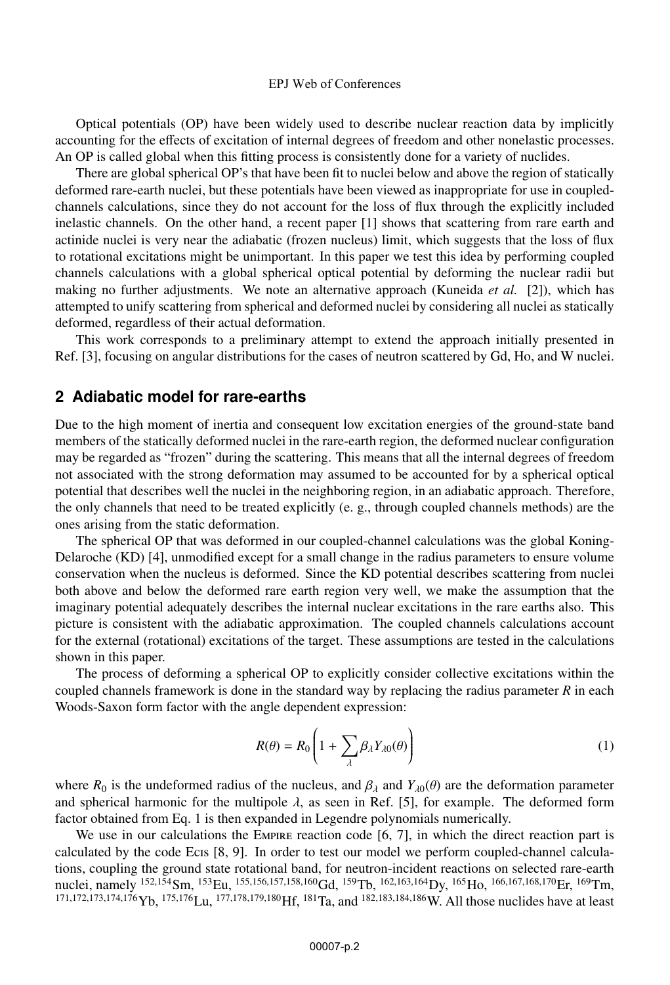#### EPJ Web of Conferences

Optical potentials (OP) have been widely used to describe nuclear reaction data by implicitly accounting for the effects of excitation of internal degrees of freedom and other nonelastic processes. An OP is called global when this fitting process is consistently done for a variety of nuclides.

There are global spherical OP's that have been fit to nuclei below and above the region of statically deformed rare-earth nuclei, but these potentials have been viewed as inappropriate for use in coupledchannels calculations, since they do not account for the loss of flux through the explicitly included inelastic channels. On the other hand, a recent paper [1] shows that scattering from rare earth and actinide nuclei is very near the adiabatic (frozen nucleus) limit, which suggests that the loss of flux to rotational excitations might be unimportant. In this paper we test this idea by performing coupled channels calculations with a global spherical optical potential by deforming the nuclear radii but making no further adjustments. We note an alternative approach (Kuneida *et al.* [2]), which has attempted to unify scattering from spherical and deformed nuclei by considering all nuclei as statically deformed, regardless of their actual deformation.

This work corresponds to a preliminary attempt to extend the approach initially presented in Ref. [3], focusing on angular distributions for the cases of neutron scattered by Gd, Ho, and W nuclei.

### **2 Adiabatic model for rare-earths**

Due to the high moment of inertia and consequent low excitation energies of the ground-state band members of the statically deformed nuclei in the rare-earth region, the deformed nuclear configuration may be regarded as "frozen" during the scattering. This means that all the internal degrees of freedom not associated with the strong deformation may assumed to be accounted for by a spherical optical potential that describes well the nuclei in the neighboring region, in an adiabatic approach. Therefore, the only channels that need to be treated explicitly (e. g., through coupled channels methods) are the ones arising from the static deformation.

The spherical OP that was deformed in our coupled-channel calculations was the global Koning-Delaroche (KD) [4], unmodified except for a small change in the radius parameters to ensure volume conservation when the nucleus is deformed. Since the KD potential describes scattering from nuclei both above and below the deformed rare earth region very well, we make the assumption that the imaginary potential adequately describes the internal nuclear excitations in the rare earths also. This picture is consistent with the adiabatic approximation. The coupled channels calculations account for the external (rotational) excitations of the target. These assumptions are tested in the calculations shown in this paper.

The process of deforming a spherical OP to explicitly consider collective excitations within the coupled channels framework is done in the standard way by replacing the radius parameter *R* in each Woods-Saxon form factor with the angle dependent expression:

$$
R(\theta) = R_0 \left( 1 + \sum_{\lambda} \beta_{\lambda} Y_{\lambda 0}(\theta) \right) \tag{1}
$$

where  $R_0$  is the undeformed radius of the nucleus, and  $\beta_\lambda$  and  $Y_{\lambda 0}(\theta)$  are the deformation parameter and spherical harmonic for the multipole  $\lambda$ , as seen in Ref. [5], for example. The deformed form factor obtained from Eq. 1 is then expanded in Legendre polynomials numerically.

We use in our calculations the EMPIRE reaction code  $[6, 7]$ , in which the direct reaction part is calculated by the code Ecis [8, 9]. In order to test our model we perform coupled-channel calculations, coupling the ground state rotational band, for neutron-incident reactions on selected rare-earth nuclei, namely <sup>152,154</sup>Sm, <sup>153</sup>Eu, <sup>155,156,157,158,160</sup>Gd, <sup>159</sup>Tb, <sup>162,163,164</sup>Dy, <sup>165</sup>Ho, <sup>166,167,168,170</sup>Er, <sup>169</sup>Tm, <sup>171</sup>,172,173,174,176Yb, <sup>175</sup>,176Lu, <sup>177</sup>,178,179,180Hf, 181Ta, and <sup>182</sup>,183,184,186W. All those nuclides have at least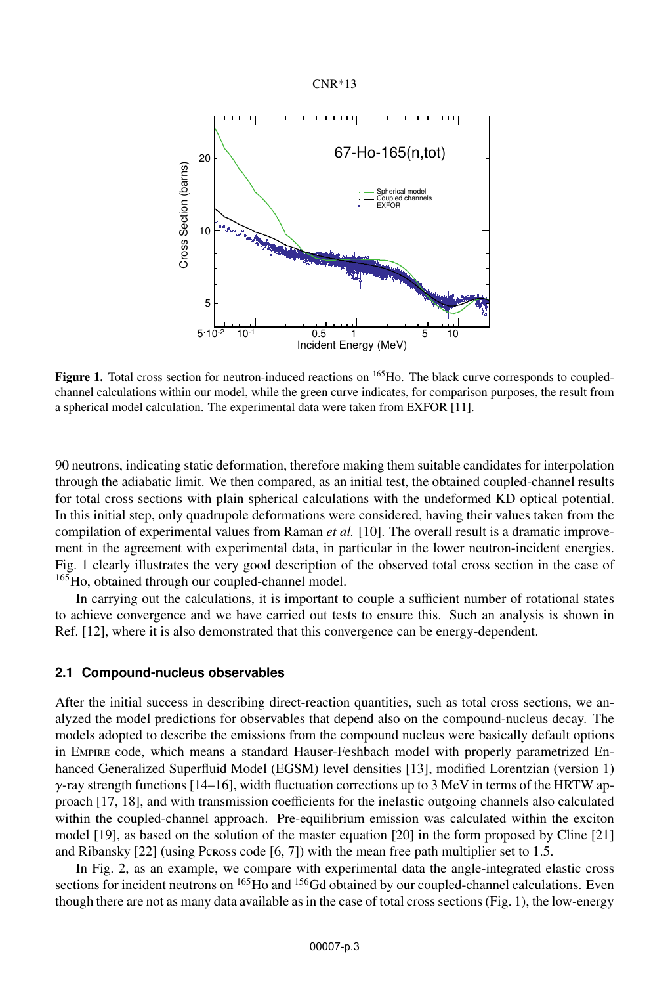



Figure 1. Total cross section for neutron-induced reactions on <sup>165</sup>Ho. The black curve corresponds to coupledchannel calculations within our model, while the green curve indicates, for comparison purposes, the result from a spherical model calculation. The experimental data were taken from EXFOR [11].

90 neutrons, indicating static deformation, therefore making them suitable candidates for interpolation through the adiabatic limit. We then compared, as an initial test, the obtained coupled-channel results for total cross sections with plain spherical calculations with the undeformed KD optical potential. In this initial step, only quadrupole deformations were considered, having their values taken from the compilation of experimental values from Raman *et al.* [10]. The overall result is a dramatic improvement in the agreement with experimental data, in particular in the lower neutron-incident energies. Fig. 1 clearly illustrates the very good description of the observed total cross section in the case of <sup>165</sup>Ho, obtained through our coupled-channel model.

In carrying out the calculations, it is important to couple a sufficient number of rotational states to achieve convergence and we have carried out tests to ensure this. Such an analysis is shown in Ref. [12], where it is also demonstrated that this convergence can be energy-dependent.

#### **2.1 Compound-nucleus observables**

After the initial success in describing direct-reaction quantities, such as total cross sections, we analyzed the model predictions for observables that depend also on the compound-nucleus decay. The models adopted to describe the emissions from the compound nucleus were basically default options in Empire code, which means a standard Hauser-Feshbach model with properly parametrized Enhanced Generalized Superfluid Model (EGSM) level densities [13], modified Lorentzian (version 1)  $\gamma$ -ray strength functions [14–16], width fluctuation corrections up to 3 MeV in terms of the HRTW approach [17, 18], and with transmission coefficients for the inelastic outgoing channels also calculated within the coupled-channel approach. Pre-equilibrium emission was calculated within the exciton model [19], as based on the solution of the master equation [20] in the form proposed by Cline [21] and Ribansky [22] (using Pcross code [6, 7]) with the mean free path multiplier set to 1.5.

In Fig. 2, as an example, we compare with experimental data the angle-integrated elastic cross sections for incident neutrons on  $165$  Ho and  $156$  Gd obtained by our coupled-channel calculations. Even though there are not as many data available as in the case of total cross sections (Fig. 1), the low-energy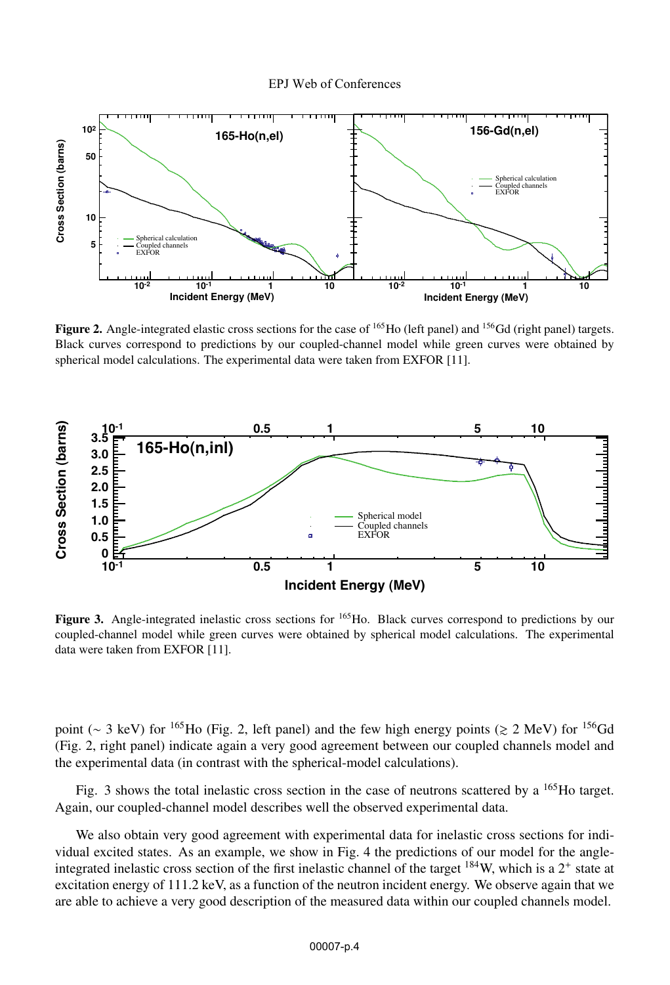

Figure 2. Angle-integrated elastic cross sections for the case of <sup>165</sup>Ho (left panel) and <sup>156</sup>Gd (right panel) targets. Black curves correspond to predictions by our coupled-channel model while green curves were obtained by spherical model calculations. The experimental data were taken from EXFOR [11].



Figure 3. Angle-integrated inelastic cross sections for <sup>165</sup>Ho. Black curves correspond to predictions by our coupled-channel model while green curves were obtained by spherical model calculations. The experimental data were taken from EXFOR [11].

point (~ 3 keV) for <sup>165</sup>Ho (Fig. 2, left panel) and the few high energy points ( $\gtrsim 2$  MeV) for <sup>156</sup>Gd (Fig. 2, right panel) indicate again a very good agreement between our coupled channels model and the experimental data (in contrast with the spherical-model calculations).

Fig. 3 shows the total inelastic cross section in the case of neutrons scattered by a <sup>165</sup>Ho target. Again, our coupled-channel model describes well the observed experimental data.

We also obtain very good agreement with experimental data for inelastic cross sections for individual excited states. As an example, we show in Fig. 4 the predictions of our model for the angleintegrated inelastic cross section of the first inelastic channel of the target  $184W$ , which is a  $2^+$  state at excitation energy of 111.2 keV, as a function of the neutron incident energy. We observe again that we are able to achieve a very good description of the measured data within our coupled channels model.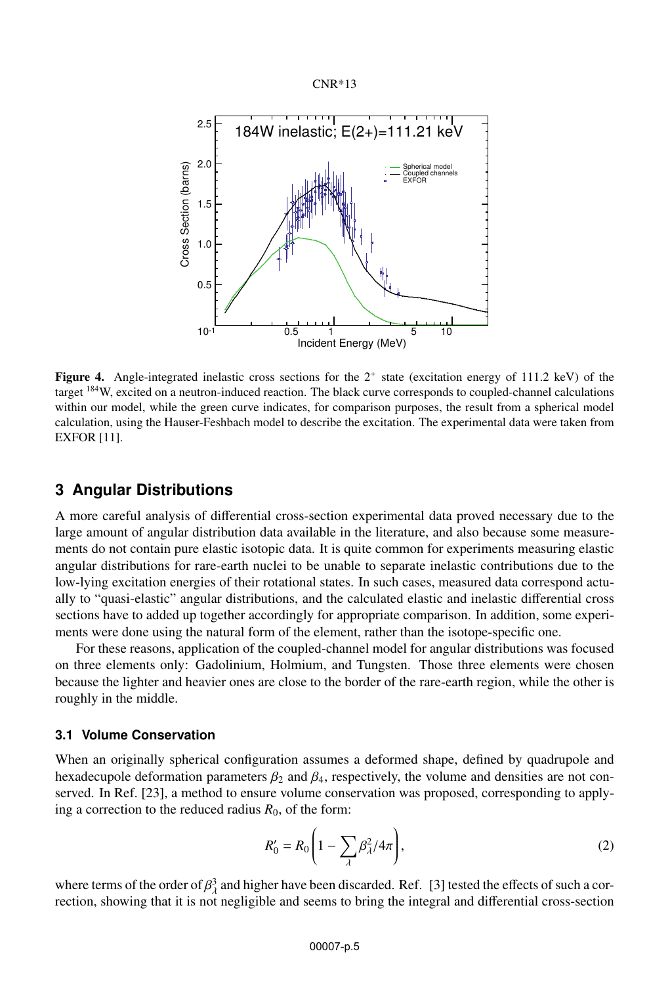



**Figure 4.** Angle-integrated inelastic cross sections for the  $2^+$  state (excitation energy of 111.2 keV) of the target 184W, excited on a neutron-induced reaction. The black curve corresponds to coupled-channel calculations within our model, while the green curve indicates, for comparison purposes, the result from a spherical model calculation, using the Hauser-Feshbach model to describe the excitation. The experimental data were taken from EXFOR [11].

### **3 Angular Distributions**

A more careful analysis of differential cross-section experimental data proved necessary due to the large amount of angular distribution data available in the literature, and also because some measurements do not contain pure elastic isotopic data. It is quite common for experiments measuring elastic angular distributions for rare-earth nuclei to be unable to separate inelastic contributions due to the low-lying excitation energies of their rotational states. In such cases, measured data correspond actually to "quasi-elastic" angular distributions, and the calculated elastic and inelastic differential cross sections have to added up together accordingly for appropriate comparison. In addition, some experiments were done using the natural form of the element, rather than the isotope-specific one.

For these reasons, application of the coupled-channel model for angular distributions was focused on three elements only: Gadolinium, Holmium, and Tungsten. Those three elements were chosen because the lighter and heavier ones are close to the border of the rare-earth region, while the other is roughly in the middle.

#### **3.1 Volume Conservation**

When an originally spherical configuration assumes a deformed shape, defined by quadrupole and hexadecupole deformation parameters  $\beta_2$  and  $\beta_4$ , respectively, the volume and densities are not conserved. In Ref. [23], a method to ensure volume conservation was proposed, corresponding to applying a correction to the reduced radius  $R_0$ , of the form:

$$
R'_0 = R_0 \left( 1 - \sum_{\lambda} \beta_{\lambda}^2 / 4\pi \right),\tag{2}
$$

where terms of the order of  $\beta^3_\lambda$  and higher have been discarded. Ref. [3] tested the effects of such a correction, showing that it is not negligible and seems to bring the integral and differential cross-section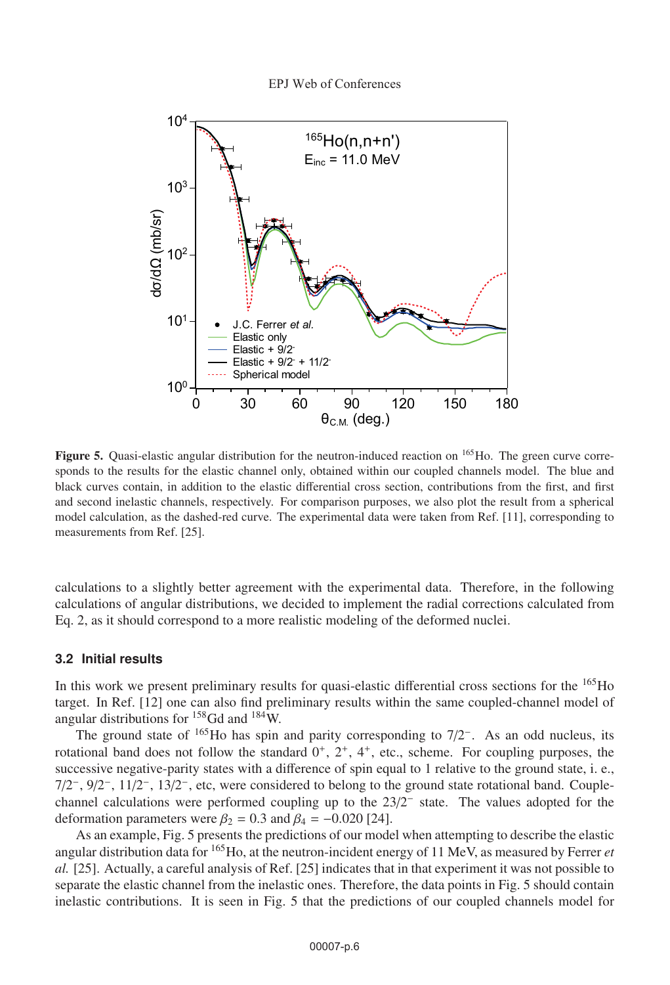

Figure 5. Quasi-elastic angular distribution for the neutron-induced reaction on <sup>165</sup>Ho. The green curve corresponds to the results for the elastic channel only, obtained within our coupled channels model. The blue and black curves contain, in addition to the elastic differential cross section, contributions from the first, and first and second inelastic channels, respectively. For comparison purposes, we also plot the result from a spherical model calculation, as the dashed-red curve. The experimental data were taken from Ref. [11], corresponding to measurements from Ref. [25].

calculations to a slightly better agreement with the experimental data. Therefore, in the following calculations of angular distributions, we decided to implement the radial corrections calculated from Eq. 2, as it should correspond to a more realistic modeling of the deformed nuclei.

#### **3.2 Initial results**

In this work we present preliminary results for quasi-elastic differential cross sections for the 165Ho target. In Ref. [12] one can also find preliminary results within the same coupled-channel model of angular distributions for 158Gd and 184W.

The ground state of  $165$ Ho has spin and parity corresponding to  $7/2^-$ . As an odd nucleus, its rotational band does not follow the standard  $0^+$ ,  $2^+$ ,  $4^+$ , etc., scheme. For coupling purposes, the successive negative-parity states with a difference of spin equal to 1 relative to the ground state, i. e., 7/2<sup>−</sup>, 9/2<sup>−</sup>, 11/2<sup>−</sup>, 13/2<sup>−</sup>, etc, were considered to belong to the ground state rotational band. Couplechannel calculations were performed coupling up to the 23/2<sup>−</sup> state. The values adopted for the deformation parameters were  $\beta_2 = 0.3$  and  $\beta_4 = -0.020$  [24].

As an example, Fig. 5 presents the predictions of our model when attempting to describe the elastic angular distribution data for 165Ho, at the neutron-incident energy of 11 MeV, as measured by Ferrer *et al.* [25]. Actually, a careful analysis of Ref. [25] indicates that in that experiment it was not possible to separate the elastic channel from the inelastic ones. Therefore, the data points in Fig. 5 should contain inelastic contributions. It is seen in Fig. 5 that the predictions of our coupled channels model for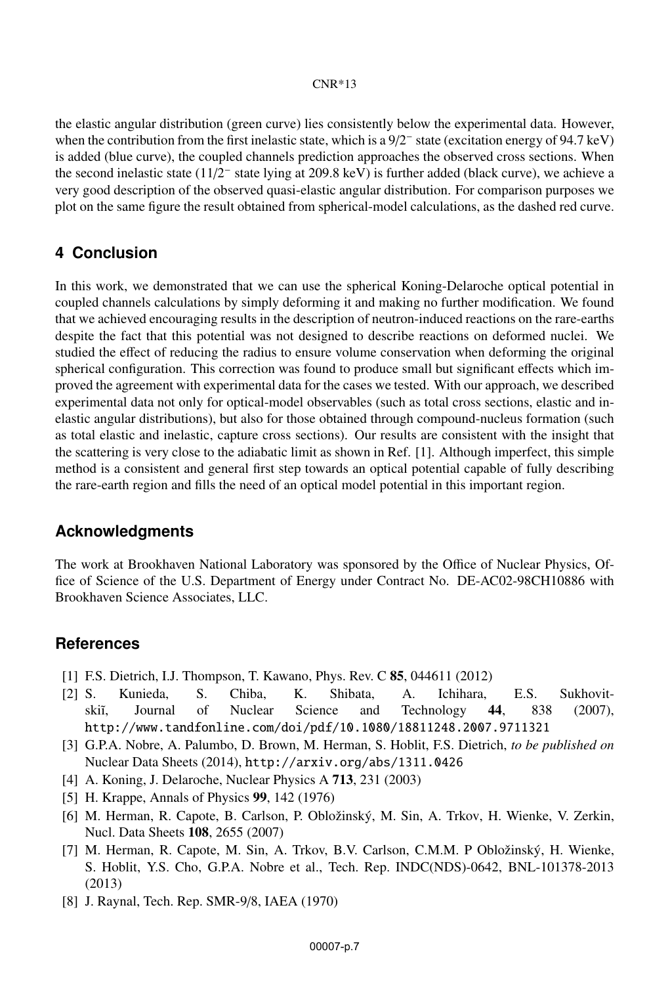#### CNR\*13

the elastic angular distribution (green curve) lies consistently below the experimental data. However, when the contribution from the first inelastic state, which is a 9/2<sup>−</sup> state (excitation energy of 94.7 keV) is added (blue curve), the coupled channels prediction approaches the observed cross sections. When the second inelastic state (11/2<sup>−</sup> state lying at 209.8 keV) is further added (black curve), we achieve a very good description of the observed quasi-elastic angular distribution. For comparison purposes we plot on the same figure the result obtained from spherical-model calculations, as the dashed red curve.

### **4 Conclusion**

In this work, we demonstrated that we can use the spherical Koning-Delaroche optical potential in coupled channels calculations by simply deforming it and making no further modification. We found that we achieved encouraging results in the description of neutron-induced reactions on the rare-earths despite the fact that this potential was not designed to describe reactions on deformed nuclei. We studied the effect of reducing the radius to ensure volume conservation when deforming the original spherical configuration. This correction was found to produce small but significant effects which improved the agreement with experimental data for the cases we tested. With our approach, we described experimental data not only for optical-model observables (such as total cross sections, elastic and inelastic angular distributions), but also for those obtained through compound-nucleus formation (such as total elastic and inelastic, capture cross sections). Our results are consistent with the insight that the scattering is very close to the adiabatic limit as shown in Ref. [1]. Although imperfect, this simple method is a consistent and general first step towards an optical potential capable of fully describing the rare-earth region and fills the need of an optical model potential in this important region.

### **Acknowledgments**

The work at Brookhaven National Laboratory was sponsored by the Office of Nuclear Physics, Office of Science of the U.S. Department of Energy under Contract No. DE-AC02-98CH10886 with Brookhaven Science Associates, LLC.

# **References**

- [1] F.S. Dietrich, I.J. Thompson, T. Kawano, Phys. Rev. C 85, 044611 (2012)
- [2] S. Kunieda, S. Chiba, K. Shibata, A. Ichihara, E.S. Sukhovitskiĩ, Journal of Nuclear Science and Technology **44**, 838 (2007),<br>http://www.tandfonline.com/doi/pdf/10.1080/18811248.2007.9711321
- [3] G.P.A. Nobre, A. Palumbo, D. Brown, M. Herman, S. Hoblit, F.S. Dietrich, *to be published on* Nuclear Data Sheets (2014), http://arxiv.org/abs/1311.0426
- [4] A. Koning, J. Delaroche, Nuclear Physics A 713, 231 (2003)
- [5] H. Krappe, Annals of Physics 99, 142 (1976)
- [6] M. Herman, R. Capote, B. Carlson, P. Obložinský, M. Sin, A. Trkov, H. Wienke, V. Zerkin, Nucl. Data Sheets 108, 2655 (2007)
- [7] M. Herman, R. Capote, M. Sin, A. Trkov, B.V. Carlson, C.M.M. P Obložinský, H. Wienke, S. Hoblit, Y.S. Cho, G.P.A. Nobre et al., Tech. Rep. INDC(NDS)-0642, BNL-101378-2013 (2013)
- [8] J. Raynal, Tech. Rep. SMR-9/8, IAEA (1970)